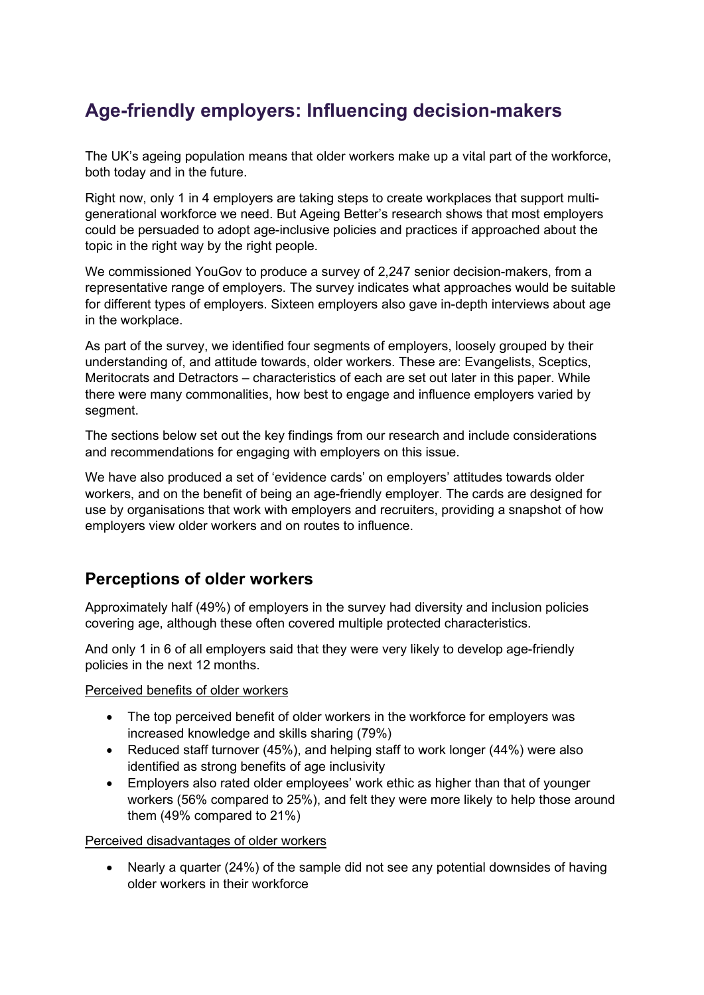# **Age-friendly employers: Influencing decision-makers**

The UK's ageing population means that older workers make up a vital part of the workforce, both today and in the future.

Right now, only 1 in 4 employers are taking steps to create workplaces that support multigenerational workforce we need. But Ageing Better's research shows that most employers could be persuaded to adopt age-inclusive policies and practices if approached about the topic in the right way by the right people.

We commissioned YouGov to produce a survey of 2,247 senior decision-makers, from a representative range of employers. The survey indicates what approaches would be suitable for different types of employers. Sixteen employers also gave in-depth interviews about age in the workplace.

As part of the survey, we identified four segments of employers, loosely grouped by their understanding of, and attitude towards, older workers. These are: Evangelists, Sceptics, Meritocrats and Detractors – characteristics of each are set out later in this paper. While there were many commonalities, how best to engage and influence employers varied by segment.

The sections below set out the key findings from our research and include considerations and recommendations for engaging with employers on this issue.

We have also produced a set of 'evidence cards' on employers' attitudes towards older workers, and on the benefit of being an age-friendly employer. The cards are designed for use by organisations that work with employers and recruiters, providing a snapshot of how employers view older workers and on routes to influence.

### **Perceptions of older workers**

Approximately half (49%) of employers in the survey had diversity and inclusion policies covering age, although these often covered multiple protected characteristics.

And only 1 in 6 of all employers said that they were very likely to develop age-friendly policies in the next 12 months.

Perceived benefits of older workers

- The top perceived benefit of older workers in the workforce for employers was increased knowledge and skills sharing (79%)
- Reduced staff turnover (45%), and helping staff to work longer (44%) were also identified as strong benefits of age inclusivity
- Employers also rated older employees' work ethic as higher than that of younger workers (56% compared to 25%), and felt they were more likely to help those around them (49% compared to 21%)

#### Perceived disadvantages of older workers

• Nearly a quarter (24%) of the sample did not see any potential downsides of having older workers in their workforce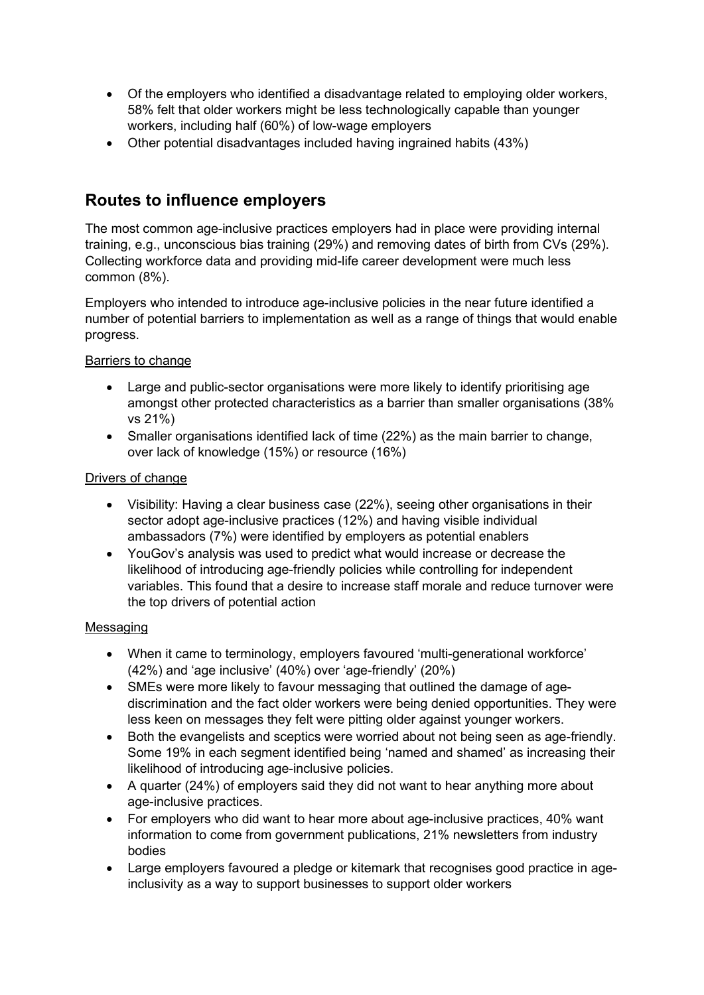- Of the employers who identified a disadvantage related to employing older workers, 58% felt that older workers might be less technologically capable than younger workers, including half (60%) of low-wage employers
- Other potential disadvantages included having ingrained habits (43%)

## **Routes to influence employers**

The most common age-inclusive practices employers had in place were providing internal training, e.g., unconscious bias training (29%) and removing dates of birth from CVs (29%). Collecting workforce data and providing mid-life career development were much less common (8%).

Employers who intended to introduce age-inclusive policies in the near future identified a number of potential barriers to implementation as well as a range of things that would enable progress.

#### Barriers to change

- Large and public-sector organisations were more likely to identify prioritising age amongst other protected characteristics as a barrier than smaller organisations (38% vs 21%)
- Smaller organisations identified lack of time (22%) as the main barrier to change, over lack of knowledge (15%) or resource (16%)

#### Drivers of change

- Visibility: Having a clear business case (22%), seeing other organisations in their sector adopt age-inclusive practices (12%) and having visible individual ambassadors (7%) were identified by employers as potential enablers
- YouGov's analysis was used to predict what would increase or decrease the likelihood of introducing age-friendly policies while controlling for independent variables. This found that a desire to increase staff morale and reduce turnover were the top drivers of potential action

#### Messaging

- When it came to terminology, employers favoured 'multi-generational workforce' (42%) and 'age inclusive' (40%) over 'age-friendly' (20%)
- SMEs were more likely to favour messaging that outlined the damage of agediscrimination and the fact older workers were being denied opportunities. They were less keen on messages they felt were pitting older against younger workers.
- Both the evangelists and sceptics were worried about not being seen as age-friendly. Some 19% in each segment identified being 'named and shamed' as increasing their likelihood of introducing age-inclusive policies.
- A quarter (24%) of employers said they did not want to hear anything more about age-inclusive practices.
- For employers who did want to hear more about age-inclusive practices, 40% want information to come from government publications, 21% newsletters from industry bodies
- Large employers favoured a pledge or kitemark that recognises good practice in ageinclusivity as a way to support businesses to support older workers